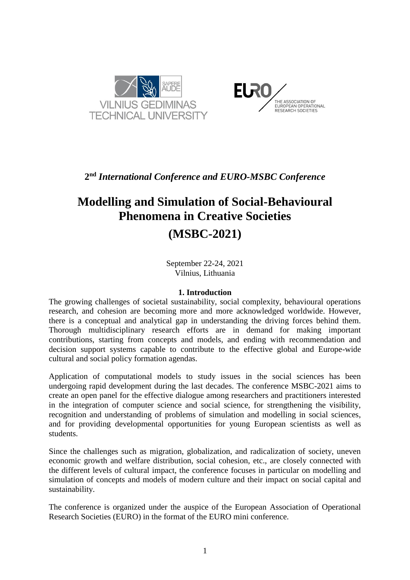



## **2 nd** *International Conference and EURO-MSBC Conference*

# **Modelling and Simulation of Social-Behavioural Phenomena in Creative Societies**

## **(MSBC-2021)**

September 22-24, 2021 Vilnius, Lithuania

### **1. Introduction**

The growing challenges of societal sustainability, social complexity, behavioural operations research, and cohesion are becoming more and more acknowledged worldwide. However, there is a conceptual and analytical gap in understanding the driving forces behind them. Thorough multidisciplinary research efforts are in demand for making important contributions, starting from concepts and models, and ending with recommendation and decision support systems capable to contribute to the effective global and Europe-wide cultural and social policy formation agendas.

Application of computational models to study issues in the social sciences has been undergoing rapid development during the last decades. The conference MSBC-2021 aims to create an open panel for the effective dialogue among researchers and practitioners interested in the integration of computer science and social science, for strengthening the visibility, recognition and understanding of problems of simulation and modelling in social sciences, and for providing developmental opportunities for young European scientists as well as students.

Since the challenges such as migration, globalization, and radicalization of society, uneven economic growth and welfare distribution, social cohesion, etc., are closely connected with the different levels of cultural impact, the conference focuses in particular on modelling and simulation of concepts and models of modern culture and their impact on social capital and sustainability.

The conference is organized under the auspice of the European Association of Operational Research Societies (EURO) in the format of the EURO mini conference.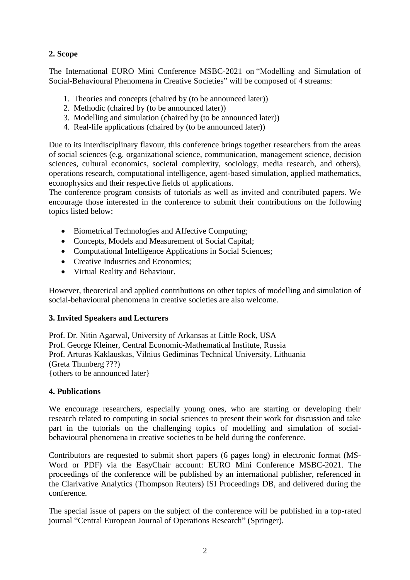## **2. Scope**

The International EURO Mini Conference MSBC-2021 on "Modelling and Simulation of Social-Behavioural Phenomena in Creative Societies" will be composed of 4 streams:

- 1. Theories and concepts (chaired by (to be announced later))
- 2. Methodic (chaired by (to be announced later))
- 3. Modelling and simulation (chaired by (to be announced later))
- 4. Real-life applications (chaired by (to be announced later))

Due to its interdisciplinary flavour, this conference brings together researchers from the areas of social sciences (e.g. organizational science, communication, management science, decision sciences, cultural economics, societal complexity, sociology, media research, and others), operations research, computational intelligence, agent-based simulation, applied mathematics, econophysics and their respective fields of applications.

The conference program consists of tutorials as well as invited and contributed papers. We encourage those interested in the conference to submit their contributions on the following topics listed below:

- Biometrical Technologies and Affective Computing;
- Concepts, Models and Measurement of Social Capital;
- Computational Intelligence Applications in Social Sciences;
- Creative Industries and Economies:
- Virtual Reality and Behaviour.

However, theoretical and applied contributions on other topics of modelling and simulation of social-behavioural phenomena in creative societies are also welcome.

## **3. Invited Speakers and Lecturers**

Prof. Dr. Nitin Agarwal, University of Arkansas at Little Rock, USA Prof. George Kleiner, Central Economic-Mathematical Institute, Russia Prof. Arturas Kaklauskas, Vilnius Gediminas Technical University, Lithuania (Greta Thunberg ???) {others to be announced later}

## **4. Publications**

We encourage researchers, especially young ones, who are starting or developing their research related to computing in social sciences to present their work for discussion and take part in the tutorials on the challenging topics of modelling and simulation of socialbehavioural phenomena in creative societies to be held during the conference.

Contributors are requested to submit short papers (6 pages long) in electronic format (MS-Word or PDF) via the EasyChair account: EURO Mini Conference MSBC-2021. The proceedings of the conference will be published by an international publisher, referenced in the Clarivative Analytics (Thompson Reuters) ISI Proceedings DB, and delivered during the conference.

The special issue of papers on the subject of the conference will be published in a top-rated journal "Central European Journal of Operations Research" (Springer).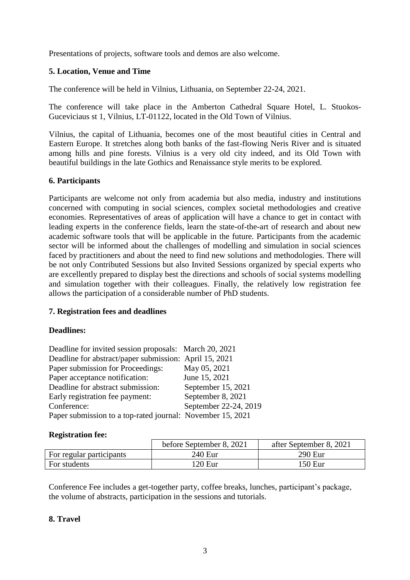Presentations of projects, software tools and demos are also welcome.

### **5. Location, Venue and Time**

The conference will be held in Vilnius, Lithuania, on September 22-24, 2021.

The conference will take place in the Amberton Cathedral Square Hotel, L. Stuokos-Guceviciaus st 1, Vilnius, LT-01122, located in the Old Town of Vilnius.

Vilnius, the capital of Lithuania, becomes one of the most beautiful cities in Central and Eastern Europe. It stretches along both banks of the fast-flowing Neris River and is situated among hills and pine forests. Vilnius is a very old city indeed, and its Old Town with beautiful buildings in the late Gothics and Renaissance style merits to be explored.

#### **6. Participants**

Participants are welcome not only from academia but also media, industry and institutions concerned with computing in social sciences, complex societal methodologies and creative economies. Representatives of areas of application will have a chance to get in contact with leading experts in the conference fields, learn the state-of-the-art of research and about new academic software tools that will be applicable in the future. Participants from the academic sector will be informed about the challenges of modelling and simulation in social sciences faced by practitioners and about the need to find new solutions and methodologies. There will be not only Contributed Sessions but also Invited Sessions organized by special experts who are excellently prepared to display best the directions and schools of social systems modelling and simulation together with their colleagues. Finally, the relatively low registration fee allows the participation of a considerable number of PhD students.

## **7. Registration fees and deadlines**

#### **Deadlines:**

| Deadline for invited session proposals: March 20, 2021     |                       |
|------------------------------------------------------------|-----------------------|
| Deadline for abstract/paper submission: April 15, 2021     |                       |
| Paper submission for Proceedings:                          | May 05, 2021          |
| Paper acceptance notification:                             | June 15, 2021         |
| Deadline for abstract submission:                          | September 15, 2021    |
| Early registration fee payment:                            | September 8, 2021     |
| Conference:                                                | September 22-24, 2019 |
| Paper submission to a top-rated journal: November 15, 2021 |                       |

#### **Registration fee:**

|                          | before September 8, 2021 | after September 8, 2021 |
|--------------------------|--------------------------|-------------------------|
| For regular participants | 240 Eur                  | 290 Eur                 |
| For students             | 120 <sub>Eu</sub>        | 150 Eur                 |

Conference Fee includes a get-together party, coffee breaks, lunches, participant's package, the volume of abstracts, participation in the sessions and tutorials.

## **8. Travel**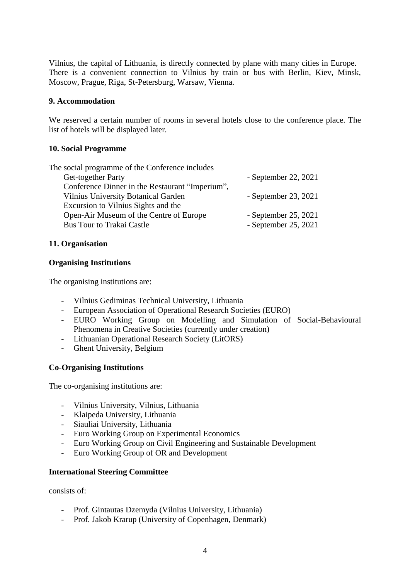Vilnius, the capital of Lithuania, is directly connected by plane with many cities in Europe. There is a convenient connection to Vilnius by train or bus with Berlin, Kiev, Minsk, Moscow, Prague, Riga, St-Petersburg, Warsaw, Vienna.

#### **9. Accommodation**

We reserved a certain number of rooms in several hotels close to the conference place. The list of hotels will be displayed later.

#### **10. Social Programme**

| The social programme of the Conference includes |                        |
|-------------------------------------------------|------------------------|
| Get-together Party                              | - September 22, $2021$ |
| Conference Dinner in the Restaurant "Imperium", |                        |
| <b>Vilnius University Botanical Garden</b>      | - September 23, 2021   |
| Excursion to Vilnius Sights and the             |                        |
| Open-Air Museum of the Centre of Europe         | - September 25, 2021   |
| <b>Bus Tour to Trakai Castle</b>                | - September 25, 2021   |
|                                                 |                        |

#### **11. Organisation**

#### **Organising Institutions**

The organising institutions are:

- Vilnius Gediminas Technical University, Lithuania
- European Association of Operational Research Societies (EURO)
- EURO Working Group on Modelling and Simulation of Social-Behavioural Phenomena in Creative Societies (currently under creation)
- Lithuanian Operational Research Society (LitORS)
- Ghent University, Belgium

## **Co-Organising Institutions**

The co-organising institutions are:

- Vilnius University, Vilnius, Lithuania
- Klaipeda University, Lithuania
- Siauliai University, Lithuania
- Euro Working Group on Experimental Economics
- Euro Working Group on Civil Engineering and Sustainable Development
- Euro Working Group of OR and Development

#### **International Steering Committee**

consists of:

- Prof. Gintautas Dzemyda (Vilnius University, Lithuania)
- Prof. Jakob Krarup (University of Copenhagen, Denmark)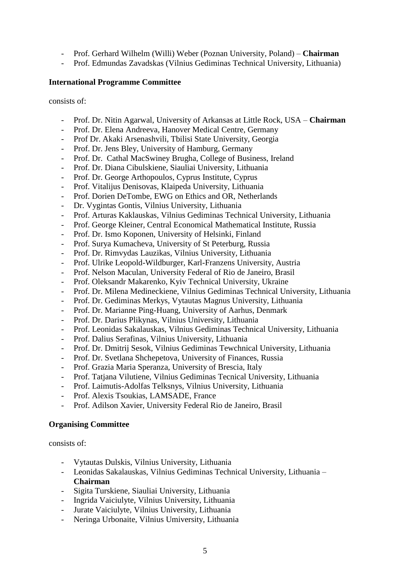- Prof. Gerhard Wilhelm (Willi) Weber (Poznan University, Poland) **Chairman**
- Prof. Edmundas Zavadskas (Vilnius Gediminas Technical University, Lithuania)

#### **International Programme Committee**

consists of:

- Prof. Dr. Nitin Agarwal, University of Arkansas at Little Rock, USA **Chairman**
- Prof. Dr. Elena Andreeva, Hanover Medical Centre, Germany
- Prof Dr. Akaki Arsenashvili, Tbilisi State University, Georgia
- Prof. Dr. Jens Bley, University of Hamburg, Germany
- Prof. Dr. Cathal MacSwiney Brugha, College of Business, Ireland
- Prof. Dr. Diana Cibulskiene, Siauliai University, Lithuania
- Prof. Dr. George Arthopoulos, Cyprus Institute, Cyprus
- Prof. Vitalijus Denisovas, Klaipeda University, Lithuania
- Prof. Dorien DeTombe, EWG on Ethics and OR, Netherlands
- Dr. Vygintas Gontis, Vilnius University, Lithuania
- Prof. Arturas Kaklauskas, Vilnius Gediminas Technical University, Lithuania
- Prof. George Kleiner, Central Economical Mathematical Institute, Russia
- Prof. Dr. Ismo Koponen, University of Helsinki, Finland
- Prof. Surya Kumacheva, University of St Peterburg, Russia
- Prof. Dr. Rimvydas Lauzikas, Vilnius University, Lithuania
- Prof. Ulrike Leopold-Wildburger, Karl-Franzens University, Austria
- Prof. Nelson Maculan, University Federal of Rio de Janeiro, Brasil
- Prof. Oleksandr Makarenko, Kyiv Technical University, Ukraine
- Prof. Dr. Milena Medineckiene, Vilnius Gediminas Technical University, Lithuania
- Prof. Dr. Gediminas Merkys, Vytautas Magnus University, Lithuania
- Prof. Dr. Marianne Ping-Huang, University of Aarhus, Denmark
- Prof. Dr. Darius Plikynas, Vilnius University, Lithuania
- Prof. Leonidas Sakalauskas, Vilnius Gediminas Technical University, Lithuania
- Prof. Dalius Serafinas, Vilnius University, Lithuania
- Prof. Dr. Dmitrij Sesok, Vilnius Gediminas Tewchnical University, Lithuania
- Prof. Dr. Svetlana Shchepetova, University of Finances, Russia
- Prof. Grazia Maria Speranza, University of Brescia, Italy
- Prof. Tatjana Vilutiene, Vilnius Gediminas Tecnical University, Lithuania
- Prof. Laimutis-Adolfas Telksnys, Vilnius University, Lithuania
- Prof. Alexis Tsoukias, LAMSADE, France
- Prof. Adilson Xavier, University Federal Rio de Janeiro, Brasil

#### **Organising Committee**

consists of:

- Vytautas Dulskis, Vilnius University, Lithuania
- Leonidas Sakalauskas, Vilnius Gediminas Technical University, Lithuania **Chairman**
- Sigita Turskiene, Siauliai University, Lithuania
- Ingrida Vaiciulyte, Vilnius University, Lithuania
- Jurate Vaiciulyte, Vilnius University, Lithuania
- Neringa Urbonaite, Vilnius Umiversity, Lithuania